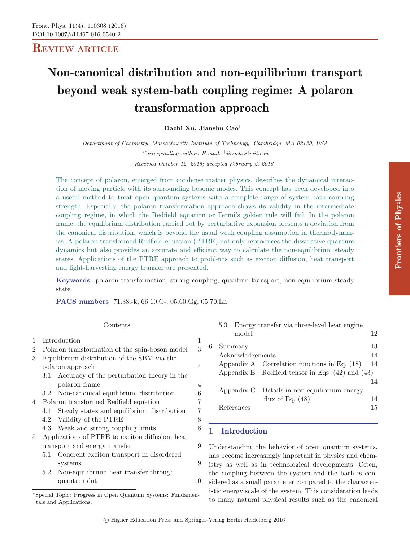## **REVIEW ARTICLE**

# **Non-canonical distribution and non-equilibrium transport beyond weak system-bath coupling regime: A polaron transformation approach**

**Dazhi Xu, Jianshu Cao**†

Department of Chemistry, Massachusetts Institute of Technology, Cambridge, MA 02139, USA Corresponding author. E-mail:  $\dagger$  jianshu@mit.edu Received October 12, 2015; accepted February 2, 2016

The concept of polaron, emerged from condense matter physics, describes the dynamical interaction of moving particle with its surrounding bosonic modes. This concept has been developed into a useful method to treat open quantum systems with a complete range of system-bath coupling strength. Especially, the polaron transformation approach shows its validity in the intermediate coupling regime, in which the Redfield equation or Fermi's golden rule will fail. In the polaron frame, the equilibrium distribution carried out by perturbative expansion presents a deviation from the canonical distribution, which is beyond the usual weak coupling assumption in thermodynamics. A polaron transformed Redfield equation (PTRE) not only reproduces the dissipative quantum dynamics but also provides an accurate and efficient way to calculate the non-equilibrium steady states. Applications of the PTRE approach to problems such as exciton diffusion, heat transport and light-harvesting energy transfer are presented.

**Keywords** polaron transformation, strong coupling, quantum transport, non-equilibrium steady state

**PACS numbers** 71.38.-k, 66.10.C-, 05.60.Gg, 05.70.Ln

#### **Contents**

1 Introduction 1 2 Polaron transformation of the spin-boson model 3 3 Equilibrium distribution of the SBM via the polaron approach 4 3.1 Accuracy of the perturbation theory in the polaron frame 4 3.2 Non-canonical equilibrium distribution 6 4 Polaron transformed Redfield equation 7 4.1 Steady states and equilibrium distribution 7 4.2 Validity of the PTRE 8 4.3 Weak and strong coupling limits 8 5 Applications of PTRE to exciton diffusion, heat transport and energy transfer 9 5.1 Coherent exciton transport in disordered systems 9 5.2 Non-equilibrium heat transfer through quantum dot 10

|   | 5.3 Energy transfer via three-level heat engine |                                                      |    |
|---|-------------------------------------------------|------------------------------------------------------|----|
|   | model                                           |                                                      | 12 |
| 6 | Summary                                         |                                                      | 13 |
|   | Acknowledgements                                |                                                      | 14 |
|   |                                                 | Appendix A Correlation functions in Eq. $(18)$       | 14 |
|   |                                                 | Appendix B Redfield tensor in Eqs. $(42)$ and $(43)$ |    |
|   |                                                 |                                                      | 14 |
|   |                                                 | Appendix C Details in non-equilibrium energy         |    |
|   |                                                 | flux of Eq. $(48)$                                   | 14 |
|   | References                                      |                                                      | 15 |
|   |                                                 |                                                      |    |

## **1 Introduction**

Understanding the behavior of open quantum systems, has become increasingly important in physics and chemistry as well as in technological developments. Often, the coupling between the system and the bath is considered as a small parameter compared to the characteristic energy scale of the system. This consideration leads to many natural physical results such as the canonical

<sup>∗</sup>Special Topic: Progress in Open Quantum Systems: Fundamentals and Applications.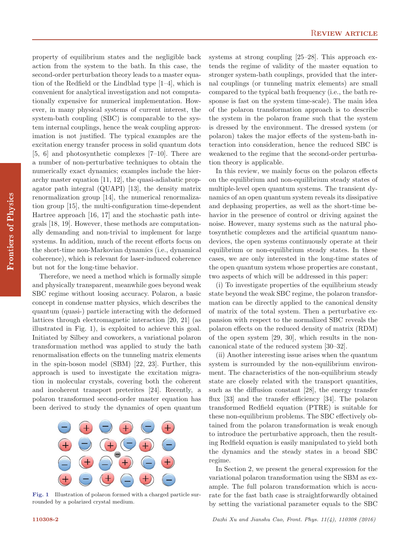property of equilibrium states and the negligible back action from the system to the bath. In this case, the second-order perturbation theory leads to a master equation of the Redfield or the Lindblad type [1–4], which is convenient for analytical investigation and not computationally expensive for numerical implementation. However, in many physical systems of current interest, the system-bath coupling (SBC) is comparable to the system internal couplings, hence the weak coupling approximation is not justified. The typical examples are the excitation energy transfer process in solid quantum dots [5, 6] and photosynthetic complexes [7–10]. There are a number of non-perturbative techniques to obtain the numerically exact dynamics; examples include the hierarchy master equation [11, 12], the quasi-adiabatic propagator path integral (QUAPI) [13], the density matrix renormalization group [14], the numerical renormalization group [15], the multi-configuration time-dependent Hartree approach [16, 17] and the stochastic path integrals [18, 19]. However, these methods are computationally demanding and non-trivial to implement for large systems. In addition, much of the recent efforts focus on the short-time non-Markovian dynamics (i.e., dynamical coherence), which is relevant for laser-induced coherence but not for the long-time behavior.

Therefore, we need a method which is formally simple and physically transparent, meanwhile goes beyond weak SBC regime without loosing accuracy. Polaron, a basic concept in condense matter physics, which describes the quantum (quasi-) particle interacting with the deformed lattices through electromagnetic interaction [20, 21] (as illustrated in Fig. 1), is exploited to achieve this goal. Initiated by Silbey and coworkers, a variational polaron transformation method was applied to study the bath renormalisation effects on the tunneling matrix elements in the spin-boson model (SBM) [22, 23]. Further, this approach is used to investigate the excitation migration in molecular crystals, covering both the coherent and incoherent transport preterites [24]. Recently, a polaron transformed second-order master equation has been derived to study the dynamics of open quantum



**Fig. 1** Illustration of polaron formed with a charged particle surrounded by a polarized crystal medium.

systems at strong coupling [25–28]. This approach extends the regime of validity of the master equation to stronger system-bath couplings, provided that the internal couplings (or tunneling matrix elements) are small compared to the typical bath frequency (i.e., the bath response is fast on the system time-scale). The main idea of the polaron transformation approach is to describe the system in the polaron frame such that the system is dressed by the environment. The dressed system (or polaron) takes the major effects of the system-bath interaction into consideration, hence the reduced SBC is weakened to the regime that the second-order perturbation theory is applicable.

In this review, we mainly focus on the polaron effects on the equilibrium and non-equilibrium steady states of multiple-level open quantum systems. The transient dynamics of an open quantum system reveals its dissipative and dephasing properties, as well as the short-time behavior in the presence of control or driving against the noise. However, many systems such as the natural photosynthetic complexes and the artificial quantum nanodevices, the open systems continuously operate at their equilibrium or non-equilibrium steady states. In these cases, we are only interested in the long-time states of the open quantum system whose properties are constant, two aspects of which will be addressed in this paper:

(i) To investigate properties of the equilibrium steady state beyond the weak SBC regime, the polaron transformation can be directly applied to the canonical density of matrix of the total system. Then a perturbative expansion with respect to the normalized SBC reveals the polaron effects on the reduced density of matrix (RDM) of the open system [29, 30], which results in the noncanonical state of the reduced system [30–32].

(ii) Another interesting issue arises when the quantum system is surrounded by the non-equilibrium environment. The characteristics of the non-equilibrium steady state are closely related with the transport quantities, such as the diffusion constant [28], the energy transfer flux [33] and the transfer efficiency [34]. The polaron transformed Redfield equation (PTRE) is suitable for these non-equilibrium problems. The SBC effectively obtained from the polaron transformation is weak enough to introduce the perturbative approach, then the resulting Redfield equation is easily manipulated to yield both the dynamics and the steady states in a broad SBC regime.

In Section 2, we present the general expression for the variational polaron transformation using the SBM as example. The full polaron transformation which is accurate for the fast bath case is straightforwardly obtained by setting the variational parameter equals to the SBC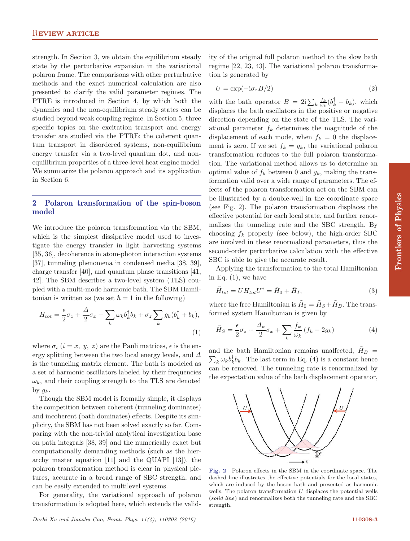strength. In Section 3, we obtain the equilibrium steady state by the perturbative expansion in the variational polaron frame. The comparisons with other perturbative methods and the exact numerical calculation are also presented to clarify the valid parameter regimes. The PTRE is introduced in Section 4, by which both the dynamics and the non-equilibrium steady states can be studied beyond weak coupling regime. In Section 5, three specific topics on the excitation transport and energy transfer are studied via the PTRE: the coherent quantum transport in disordered systems, non-equilibrium energy transfer via a two-level quantum dot, and nonequilibrium properties of a three-level heat engine model. We summarize the polaron approach and its application in Section 6.

## **2 Polaron transformation of the spin-boson model**

We introduce the polaron transformation via the SBM, which is the simplest dissipative model used to investigate the energy transfer in light harvesting systems [35, 36], decoherence in atom-photon interaction systems [37], tunneling phenomena in condensed media [38, 39], charge transfer [40], and quantum phase transitions [41, 42]. The SBM describes a two-level system (TLS) coupled with a multi-mode harmonic bath. The SBM Hamiltonian is written as (we set  $\hbar = 1$  in the following)

$$
H_{tot} = \frac{\epsilon}{2}\sigma_z + \frac{\Delta}{2}\sigma_x + \sum_k \omega_k b_k^{\dagger} b_k + \sigma_z \sum_k g_k (b_k^{\dagger} + b_k),
$$
\n(1)

where  $\sigma_i$   $(i = x, y, z)$  are the Pauli matrices,  $\epsilon$  is the energy splitting between the two local energy levels, and  $\Delta$ is the tunneling matrix element. The bath is modeled as a set of harmonic oscillators labeled by their frequencies  $\omega_k$ , and their coupling strength to the TLS are denoted by  $g_k$ .

Though the SBM model is formally simple, it displays the competition between coherent (tunneling dominates) and incoherent (bath dominates) effects. Despite its simplicity, the SBM has not been solved exactly so far. Comparing with the non-trivial analytical investigation base on path integrals [38, 39] and the numerically exact but computationally demanding methods (such as the hierarchy master equation [11] and the QUAPI [13]), the polaron transformation method is clear in physical pictures, accurate in a broad range of SBC strength, and can be easily extended to multilevel systems.

For generality, the variational approach of polaron transformation is adopted here, which extends the validity of the original full polaron method to the slow bath regime [22, 23, 43]. The variational polaron transformation is generated by

$$
U = \exp(-\mathrm{i}\sigma_z B/2) \tag{2}
$$

with the bath operator  $B = 2i \sum_k \frac{J_k}{\omega_k} (b_k^{\dagger} - b_k)$ , which<br>displaces the bath oscillators in the positive or perative displaces the bath oscillators in the positive or negative direction depending on the state of the TLS. The variational parameter  $f_k$  determines the magnitude of the displacement of each mode, when  $f_k = 0$  the displacement is zero. If we set  $f_k = g_k$ , the variational polaron transformation reduces to the full polaron transformation. The variational method allows us to determine an optimal value of  $f_k$  between 0 and  $g_k$ , making the transformation valid over a wide range of parameters. The effects of the polaron transformation act on the SBM can be illustrated by a double-well in the coordinate space (see Fig. 2). The polaron transformation displaces the effective potential for each local state, and further renormalizes the tunneling rate and the SBC strength. By choosing  $f_k$  properly (see below), the high-order SBC are involved in these renormalized parameters, thus the second-order perturbative calculation with the effective SBC is able to give the accurate result.

Applying the transformation to the total Hamiltonian in Eq.  $(1)$ , we have

$$
\tilde{H}_{tot} = U H_{tot} U^{\dagger} = \tilde{H}_0 + \tilde{H}_I,
$$
\n(3)

where the free Hamiltonian is  $H_0 = H_S + H_B$ . The transformed system Hamiltonian is given by

$$
\tilde{H}_S = \frac{\epsilon}{2}\sigma_z + \frac{\Delta_\kappa}{2}\sigma_x + \sum_k \frac{f_k}{\omega_k} (f_k - 2g_k)
$$
\n(4)

and the bath Hamiltonian remains unaffected,  $\tilde{H}_B = \sum_{\alpha} \mu_{\alpha}^{\dagger} h_{\alpha}$ . The last term in Eq. (4) is a constant hand  $\sum_k \omega_k b_k^{\dagger} b_k$ . The last term in Eq. (4) is a constant hence can be removed. The tunneling rate is renormalized by the expectation value of the bath displacement operator,



**Fig. 2** Polaron effects in the SBM in the coordinate space. The dashed line illustrates the effective potentials for the local states, which are induced by the boson bath and presented as harmonic wells. The polaron transformation  $U$  displaces the potential wells (solid line) and renormalizes both the tunneling rate and the SBC strength.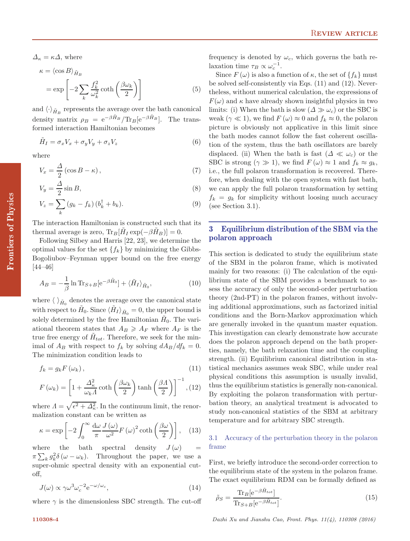$\Delta_{\kappa} = \kappa \Delta$ , where

$$
\kappa = \langle \cos B \rangle_{\tilde{H}_B}
$$
  
=  $\exp \left[ -2 \sum_k \frac{f_k^2}{\omega_k^2} \coth \left( \frac{\beta \omega_k}{2} \right) \right]$  (5)

and  $\langle \cdot \rangle_{\tilde{H}_B}$  represents the average over the bath canonical<br> $\frac{-\beta \tilde{H}_B}{T}$   $\frac{(\mathbf{F} - \beta \tilde{H}_B)}{T}$   $\mathbf{F}$ density matrix  $\rho_B = e^{-\beta \tilde{H}_B} / {\rm Tr}_B[e^{-\beta \tilde{H}_B}]$ . The transformed interaction Hamiltonian becomes

$$
\tilde{H}_I = \sigma_x V_x + \sigma_y V_y + \sigma_z V_z \tag{6}
$$

where

$$
V_x = \frac{\Delta}{2} \left( \cos B - \kappa \right),\tag{7}
$$

$$
V_y = \frac{\Delta}{2} \sin B,\tag{8}
$$

$$
V_z = \sum_k (g_k - f_k) (b_k^{\dagger} + b_k).
$$
 (9)

The interaction Hamiltonian is constructed such that its thermal average is zero,  $\text{Tr}_B[\hat{H}_I \exp(-\beta \hat{H}_B)] = 0.$ 

Following Silbey and Harris [22, 23], we determine the optimal values for the set  $\{f_k\}$  by minimizing the Gibbs-Bogoliubov–Feynman upper bound on the free energy [44–46]

$$
A_B = -\frac{1}{\beta} \ln \text{Tr}_{S+B} \left[ e^{-\beta \tilde{H}_0} \right] + \langle \tilde{H}_I \rangle_{\tilde{H}_0},\tag{10}
$$

where  $\langle \ \rangle_{\tilde{H}_0}$  denotes the average over the canonical state<br>with a vertex  $\tilde{H}_0$ . Since  $\langle \tilde{H}_0 \rangle$  and the summarized in with respect to  $\tilde{H}_0$ . Since  $\langle \tilde{H}_I \rangle_{\tilde{H}_0} = 0$ , the upper bound is solely determined by the free Hamiltonian  $H_0$ . The variational theorem states that  $A_B \geq A_F$  where  $A_F$  is the true free energy of  $H_{tot}$ . Therefore, we seek for the minimal of  $A_B$  with respect to  $f_k$  by solving  $dA_B/df_k = 0$ . The minimization condition leads to

$$
f_k = g_k F\left(\omega_k\right),\tag{11}
$$

$$
F(\omega_k) = \left[1 + \frac{\Delta_{\kappa}^2}{\omega_k A} \coth\left(\frac{\beta \omega_k}{2}\right) \tanh\left(\frac{\beta A}{2}\right)\right]^{-1}, (12)
$$

where  $\Lambda = \sqrt{\epsilon^2 + \Delta_k^2}$ . In the continuum limit, the renormalization constant can be written as

$$
\kappa = \exp\left[-2\int_0^\infty \frac{d\omega}{\pi} \frac{J(\omega)}{\omega^2} F(\omega)^2 \coth\left(\frac{\beta\omega}{2}\right)\right], \quad (13)
$$

where the bath spectral density  $J(\omega)$  $\pi \sum_{k} g_{k}^{2} \delta(\omega - \omega_{k})$ . Throughout the paper, we use a superchange control density with an exponential cut super-ohmic spectral density with an exponential cutoff,

$$
J(\omega) \propto \gamma \omega^3 \omega_c^{-2} e^{-\omega/\omega_c},\tag{14}
$$

where  $\gamma$  is the dimensionless SBC strength. The cut-off

frequency is denoted by  $\omega_c$ , which governs the bath relaxation time  $\tau_B \propto \omega_c^{-1}$ .

Since  $F(\omega)$  is also a function of  $\kappa$ , the set of  $\{f_k\}$  must be solved self-consistently via Eqs. (11) and (12). Nevertheless, without numerical calculation, the expressions of  $F(\omega)$  and  $\kappa$  have already shown insightful physics in two limits: (i) When the bath is slow  $(\Delta \gg \omega_c)$  or the SBC is weak  $(\gamma \ll 1)$ , we find  $F(\omega) \approx 0$  and  $f_k \approx 0$ , the polaron picture is obviously not applicative in this limit since the bath modes cannot follow the fast coherent oscillation of the system, thus the bath oscillators are barely displaced. (ii) When the bath is fast  $(\Delta \ll \omega_c)$  or the SBC is strong  $(\gamma \gg 1)$ , we find  $F(\omega) \approx 1$  and  $f_k \approx g_k$ , i.e., the full polaron transformation is recovered. Therefore, when dealing with the open system with fast bath, we can apply the full polaron transformation by setting  $f_k = g_k$  for simplicity without loosing much accuracy (see Section 3.1).

## **3 Equilibrium distribution of the SBM via the polaron approach**

This section is dedicated to study the equilibrium state of the SBM in the polaron frame, which is motivated mainly for two reasons: (i) The calculation of the equilibrium state of the SBM provides a benchmark to assess the accuracy of only the second-order perturbation theory (2nd-PT) in the polaron frames, without involving additional approximations, such as factorized initial conditions and the Born-Markov approximation which are generally invoked in the quantum master equation. This investigation can clearly demonstrate how accurate does the polaron approach depend on the bath properties, namely, the bath relaxation time and the coupling strength. (ii) Equilibrium canonical distribution in statistical mechanics assumes weak SBC, while under real physical conditions this assumption is usually invalid, thus the equilibrium statistics is generally non-canonical. By exploiting the polaron transformation with perturbation theory, an analytical treatment is advocated to study non-canonical statistics of the SBM at arbitrary temperature and for arbitrary SBC strength.

### 3.1 Accuracy of the perturbation theory in the polaron frame

First, we briefly introduce the second-order correction to the equilibrium state of the system in the polaron frame. The exact equilibrium RDM can be formally defined as

$$
\tilde{\rho}_S = \frac{\text{Tr}_B[e^{-\beta \tilde{H}_{tot}}]}{\text{Tr}_{S+B}[e^{-\beta \tilde{H}_{tot}}]}.
$$
\n(15)

**110308-4** Dazhi Xu and Jianshu Cao, Front. Phys. 11(4), 110308 (2016)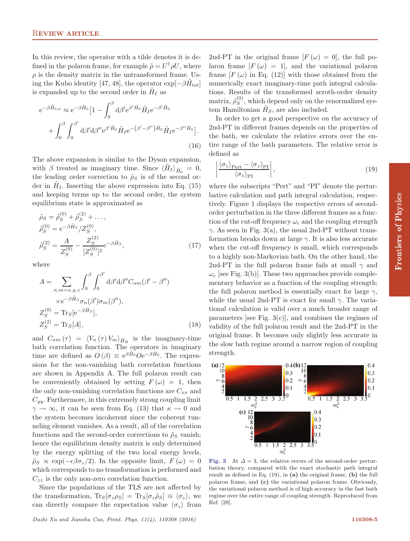In this review, the operator with a tilde denotes it is defined in the polaron frame, for example  $\tilde{\rho} = U^{\dagger} \rho U$ , where  $\rho$  is the density matrix in the untransformed frame. Using the Kubo identity [47, 48], the operator  $\exp[-\beta \tilde{H}_{tot}]$ is expanded up to the second order in  $H_I$  as

$$
e^{-\beta \tilde{H}_{tot}} \approx e^{-\beta \tilde{H}_0} \left[ 1 - \int_0^{\beta} d\beta' e^{\beta' \tilde{H}_0} \tilde{H}_I e^{-\beta' \tilde{H}_0} \right. \\
\left. + \int_0^{\beta} \int_0^{\beta'} d\beta' d\beta'' e^{\beta' \tilde{H}_0} \tilde{H}_I e^{-\left(\beta' - \beta''\right) \tilde{H}_0} \tilde{H}_I e^{-\beta'' \tilde{H}_0} \right].\n\tag{16}
$$

The above expansion is similar to the Dyson expansion, with  $\beta$  treated as imaginary time. Since  $\langle \tilde{H}_I \rangle_{\tilde{H}_0} = 0$ ,<br>the leading order correction to  $\tilde{\sigma}_{\alpha}$  is of the second orthe leading order correction to  $\tilde{\rho}_S$  is of the second order in  $H<sub>I</sub>$ . Inserting the above expression into Eq. (15) and keeping terms up to the second order, the system equilibrium state is approximated as

$$
\tilde{\rho}_S = \tilde{\rho}_S^{(0)} + \tilde{\rho}_S^{(2)} + \dots, \n\tilde{\rho}_S^{(0)} = e^{-\beta \tilde{H}_S} / Z_S^{(0)}, \n\tilde{\rho}_S^{(2)} = \frac{A}{Z_S^{(0)}} - \frac{Z_S^{(2)}}{[Z_S^{(0)}]^2} e^{-\beta \tilde{H}_S},
$$
\n(17)

where

$$
A = \sum_{n,m=x,y,z} \int_0^{\beta} \int_0^{\beta'} d\beta' d\beta'' C_{nm}(\beta' - \beta'')
$$
  
\n
$$
\times e^{-\beta \tilde{H}_S} \sigma_n(\beta') \sigma_m(\beta''),
$$
  
\n
$$
Z_S^{(0)} = \text{Tr}_S[e^{-\beta \tilde{H}_S}],
$$
  
\n
$$
Z_S^{(2)} = \text{Tr}_S[A],
$$
\n(18)

and  $C_{nm}(\tau) = \langle V_n(\tau) V_m \rangle_{\hat{H}_B}$  is the imaginary-time<br>both correlation function. The energies in imaginary bath correlation function. The operators in imaginary time are defined as  $O(\beta) \equiv e^{\beta \tilde{H}_0} Oe^{-\beta \tilde{H}_0}$ . The expressions for the non-vanishing bath correlation functions are shown in Appendix A. The full polaron result can be conveniently obtained by setting  $F(\omega) = 1$ , then the only non-vanishing correlation functions are  $C_{xx}$  and  $C_{yy}$ . Furthermore, in this extremely strong coupling limit  $\gamma \to \infty$ , it can be seen from Eq. (13) that  $\kappa \to 0$  and the system becomes incoherent since the coherent tunneling element vanishes. As a result, all of the correlation functions and the second-order corrections to  $\tilde{\rho}_S$  vanish; hence the equilibrium density matrix is only determined by the energy splitting of the two local energy levels,  $\tilde{\rho}_S \propto \exp(-\epsilon \beta \sigma_z/2)$ . In the opposite limit,  $F(\omega)=0$ which corresponds to no transformation is performed and  $C_{zz}$  is the only non-zero correlation function.

Since the populations of the TLS are not affected by the transformation,  $\text{Tr}_S[\sigma_z \rho_S] = \text{Tr}_S[\sigma_z \tilde{\rho}_S] \equiv \langle \sigma_z \rangle$ , we can directly compare the expectation value  $\langle \sigma_z \rangle$  from

Dazhi Xu and Jianshu Cao, Front. Phys. 11(4), 110308 (2016) **110308-5**

2nd-PT in the original frame  $[F(\omega) = 0]$ , the full polaron frame  $[F(\omega) = 1]$ , and the variational polaron frame  $[F(\omega)]$  in Eq. (12) with those obtained from the numerically exact imaginary-time path integral calculations. Results of the transformed zeroth-order density matrix,  $\tilde{\rho}_S^{(0)}$ , which depend only on the renormalized sys-<br>tom Hamiltonian  $\tilde{H}_S$ , are also included tem Hamiltonian  $H<sub>S</sub>$ , are also included.

In order to get a good perspective on the accuracy of 2nd-PT in different frames depends on the properties of the bath, we calculate the relative errors over the entire range of the bath parameters. The relative error is defined as

$$
\left| \frac{\langle \sigma_z \rangle_{\text{Pert}} - \langle \sigma_z \rangle_{\text{PI}}}{\langle \sigma_z \rangle_{\text{PI}}} \right|,
$$
\n(19)

where the subscripts "Pert" and "PI" denote the perturbative calculation and path integral calculation, respectively. Figure 1 displays the respective errors of secondorder perturbation in the three different frames as a function of the cut-off frequency  $\omega_c$  and the coupling strength  $\gamma$ . As seen in Fig. 3(a), the usual 2nd-PT without transformation breaks down at large  $\gamma$ . It is also less accurate when the cut-off frequency is small, which corresponds to a highly non-Markovian bath. On the other hand, the 2nd-PT in the full polaron frame fails at small  $\gamma$  and  $\omega_c$  [see Fig. 3(b)]. These two approaches provide complementary behavior as a function of the coupling strength; the full polaron method is essentially exact for large  $\gamma$ , while the usual 2nd-PT is exact for small  $\gamma$ . The variational calculation is valid over a much broader range of parameters [see Fig.  $3(c)$ ], and combines the regimes of validity of the full polaron result and the 2nd-PT in the original frame. It becomes only slightly less accurate in the slow bath regime around a narrow region of coupling strength.



**Fig. 3** At  $\Delta = 3$ , the relative errors of the second-order perturbation theory, compared with the exact stochastic path integral result as defined in Eq. (19), in **(a)** the original frame, **(b)** the full polaron frame, and **(c)** the variational polaron frame. Obviously, the variational polaron method is of high accuracy in the fast bath regime over the entire range of coupling strength. Reproduced from Ref. [29].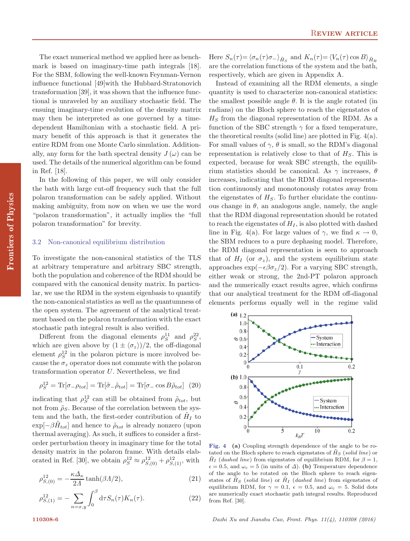The exact numerical method we applied here as benchmark is based on imaginary-time path integrals [18]. For the SBM, following the well-known Feynman-Vernon influence functional [49]with the Hubbard-Stratonovich transformation [39], it was shown that the influence functional is unraveled by an auxiliary stochastic field. The ensuing imaginary-time evolution of the density matrix may then be interpreted as one governed by a timedependent Hamiltonian with a stochastic field. A primary benefit of this approach is that it generates the entire RDM from one Monte Carlo simulation. Additionally, any form for the bath spectral density  $J(\omega)$  can be used. The details of the numerical algorithm can be found in Ref. [18].

In the following of this paper, we will only consider the bath with large cut-off frequency such that the full polaron transformation can be safely applied. Without making ambiguity, from now on when we use the word "polaron transformation", it actually implies the "full polaron transformation" for brevity.

#### 3.2 Non-canonical equilibrium distribution

To investigate the non-canonical statistics of the TLS at arbitrary temperature and arbitrary SBC strength, both the population and coherence of the RDM should be compared with the canonical density matrix. In particular, we use the RDM in the system eigenbasis to quantify the non-canonical statistics as well as the quantumness of the open system. The agreement of the analytical treatment based on the polaron transformation with the exact stochastic path integral result is also verified.

Different from the diagonal elements  $\rho_S^{11}$  and  $\rho_S^{22}$ , which are given above by  $(1 \pm \langle \sigma_z \rangle)/2$ , the off-diagonal<br>class of  $-12$  in the polarary nitting is more involved by element  $\rho_S^{12}$  in the polaron picture is more involved be-<br>sause the  $\sigma$  energter does not commute with the polaron cause the  $\sigma_z$  operator does not commute with the polaron transformation operator U. Nevertheless, we find

$$
\rho_S^{12} = \text{Tr}[\sigma_{-}\rho_{tot}] = \text{Tr}[\tilde{\sigma}_{-}\tilde{\rho}_{tot}] = \text{Tr}[\sigma_{-}\cos B\tilde{\rho}_{tot}] \tag{20}
$$

indicating that  $\rho_S^{12}$  can still be obtained from  $\rho_{tot}$ , but not from  $\tilde{\rho}_S$ . Because of the correlation between the system and the bath, the first-order contribution of  $H_I$  to  $\exp[-\beta \hat{H}_{tot}]$  and hence to  $\tilde{\rho}_{tot}$  is already nonzero (upon thermal averaging). As such, it suffices to consider a firstorder perturbation theory in imaginary time for the total density matrix in the polaron frame. With details elaborated in Ref. [30], we obtain  $\rho_S^{12} \approx \rho_{S,(0)}^{12} + \rho_{S,(1)}^{12}$ , with

$$
\rho_{S,(0)}^{12} = -\frac{\kappa \Delta_{\kappa}}{2\Lambda} \tanh(\beta \Lambda/2),\tag{21}
$$

$$
\rho_{S,(1)}^{12} = -\sum_{n=x,y} \int_0^\beta d\tau S_n(\tau) K_n(\tau). \tag{22}
$$

Here  $S_n(\tau) = \langle \sigma_n(\tau) \sigma_{-} \rangle_{\tilde{H}_S}$  and  $K_n(\tau) = \langle V_n(\tau) \cos B \rangle_{\tilde{H}_B}$ <br>are the correlation functions of the system and the bath are the correlation functions of the system and the bath, respectively, which are given in Appendix A.

Instead of examining all the RDM elements, a single quantity is used to characterize non-canonical statistics: the smallest possible angle  $\theta$ . It is the angle rotated (in radians) on the Bloch sphere to reach the eigenstates of  $H<sub>S</sub>$  from the diagonal representation of the RDM. As a function of the SBC strength  $\gamma$  for a fixed temperature, the theoretical results (solid line) are plotted in Fig. 4(a). For small values of  $\gamma$ ,  $\theta$  is small, so the RDM's diagonal representation is relatively close to that of  $H<sub>S</sub>$ . This is expected, because for weak SBC strength, the equilibrium statistics should be canonical. As  $\gamma$  increases,  $\theta$ increases, indicating that the RDM diagonal representation continuously and monotonously rotates away from the eigenstates of  $H<sub>S</sub>$ . To further elucidate the continuous change in  $\theta$ , an analogous angle, namely, the angle that the RDM diagonal representation should be rotated to reach the eigenstates of  $H_I$ , is also plotted with dashed line in Fig. 4(a). For large values of  $\gamma$ , we find  $\kappa \to 0$ , the SBM reduces to a pure dephasing model. Therefore, the RDM diagonal representation is seen to approach that of  $H_I$  (or  $\sigma_z$ ), and the system equilibrium state approaches  $\exp(-\epsilon \beta \sigma_z/2)$ . For a varying SBC strength, either weak or strong, the 2nd-PT polaron approach and the numerically exact results agree, which confirms that our analytical treatment for the RDM off-diagonal elements performs equally well in the regime valid



**Fig. 4 (a)** Coupling strength dependence of the angle to be rotated on the Bloch sphere to reach eigenstates of  $H<sub>S</sub>$  (solid line) or  $H_I$  (dashed line) from eigenstates of equilibrium RDM, for  $\beta = 1$ ,  $\epsilon = 0.5$ , and  $\omega_c = 5$  (in units of  $\Delta$ ). (b) Temperature dependence of the angle to be rotated on the Bloch sphere to reach eigenstates of  $\tilde{H}_S$  (solid line) or  $\tilde{H}_I$  (dashed line) from eigenstates of equilibrium RDM, for  $\gamma = 0.1$ ,  $\epsilon = 0.5$ , and  $\omega_c = 5$ . Solid dots are numerically exact stochastic path integral results. Reproduced from Ref. [30].

**110308-6** Dazhi Xu and Jianshu Cao, Front. Phys. 11(4), 110308 (2016)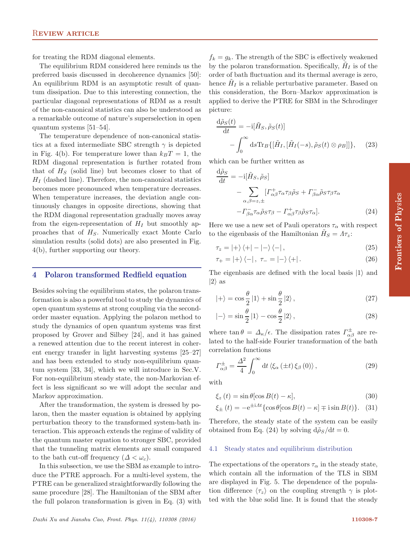for treating the RDM diagonal elements.

The equilibrium RDM considered here reminds us the preferred basis discussed in decoherence dynamics [50]: An equilibrium RDM is an asymptotic result of quantum dissipation. Due to this interesting connection, the particular diagonal representations of RDM as a result of the non-canonical statistics can also be understood as a remarkable outcome of nature's superselection in open quantum systems [51–54].

The temperature dependence of non-canonical statistics at a fixed intermediate SBC strength  $\gamma$  is depicted in Fig. 4(b). For temperature lower than  $k_BT = 1$ , the RDM diagonal representation is further rotated from that of  $H_s$  (solid line) but becomes closer to that of  $H_I$  (dashed line). Therefore, the non-canonical statistics becomes more pronounced when temperature decreases. When temperature increases, the deviation angle continuously changes in opposite directions, showing that the RDM diagonal representation gradually moves away from the eigen-representation of  $H_I$  but smoothly approaches that of  $H<sub>S</sub>$ . Numerically exact Monte Carlo simulation results (solid dots) are also presented in Fig. 4(b), further supporting our theory.

#### **4 Polaron transformed Redfield equation**

Besides solving the equilibrium states, the polaron transformation is also a powerful tool to study the dynamics of open quantum systems at strong coupling via the secondorder master equation. Applying the polaron method to study the dynamics of open quantum systems was first proposed by Grover and Silbey [24], and it has gained a renewed attention due to the recent interest in coherent energy transfer in light harvesting systems [25–27] and has been extended to study non-equilibrium quantum system [33, 34], which we will introduce in Sec.V. For non-equilibrium steady state, the non-Markovian effect is less significant so we will adopt the secular and Markov approximation.

After the transformation, the system is dressed by polaron, then the master equation is obtained by applying perturbation theory to the transformed system-bath interaction. This approach extends the regime of validity of the quantum master equation to stronger SBC, provided that the tunneling matrix elements are small compared to the bath cut-off frequency  $(\Delta < \omega_c)$ .

In this subsection, we use the SBM as example to introduce the PTRE approach. For a multi-level system, the PTRE can be generalized straightforwardly following the same procedure [28]. The Hamiltonian of the SBM after the full polaron transformation is given in Eq. (3) with  $f_k = g_k$ . The strength of the SBC is effectively weakened by the polaron transformation. Specifically,  $H_I$  is of the order of bath fluctuation and its thermal average is zero, hence  $H_I$  is a reliable perturbative parameter. Based on this consideration, the Born–Markov approximation is applied to derive the PTRE for SBM in the Schrodinger picture:

$$
\frac{\mathrm{d}\tilde{\rho}_S(t)}{\mathrm{d}t} = -\mathrm{i}[\tilde{H}_S, \tilde{\rho}_S(t)]
$$

$$
-\int_0^\infty \mathrm{d}s \mathrm{Tr}_B\{[\tilde{H}_I, [\tilde{H}_I(-s), \tilde{\rho}_S(t) \otimes \rho_B]]\}, \quad (23)
$$

which can be further written as

$$
\frac{d\tilde{\rho}_S}{dt} = -i[\tilde{H}_S, \tilde{\rho}_S]
$$
  
\n
$$
-\sum_{\alpha,\beta=z,\pm} [ \Gamma^+_{\alpha\beta} \tau_\alpha \tau_\beta \tilde{\rho}_S + \Gamma^-_{\beta\alpha} \tilde{\rho}_S \tau_\beta \tau_\alpha
$$
  
\n
$$
- \Gamma^-_{\beta\alpha} \tau_\alpha \tilde{\rho}_S \tau_\beta - \Gamma^+_{\alpha\beta} \tau_\beta \tilde{\rho}_S \tau_\alpha].
$$
\n(24)

Here we use a new set of Pauli operators  $\tau_{\alpha}$  with respect to the eigenbasis of the Hamiltonian  $H_S = \Lambda \tau_z$ :

$$
\tau_z = |+\rangle \langle +| - |-\rangle \langle -| \,, \tag{25}
$$

$$
\tau_{+} = |+\rangle \langle -|, \tau_{-} = |-\rangle \langle +|.
$$
 (26)

The eigenbasis are defined with the local basis  $|1\rangle$  and  $|2\rangle$  as

$$
|+\rangle = \cos\frac{\theta}{2}|1\rangle + \sin\frac{\theta}{2}|2\rangle, \qquad (27)
$$

$$
|-\rangle = \sin\frac{\theta}{2}|1\rangle - \cos\frac{\theta}{2}|2\rangle, \qquad (28)
$$

where  $\tan \theta = \Delta_{\kappa}/\epsilon$ . The dissipation rates  $\Gamma_{\alpha\beta}^{\pm}$  are related to the half-side Fourier transformation of the bath correlation functions

$$
\Gamma_{\alpha\beta}^{\pm} = \frac{\Delta^2}{4} \int_0^\infty dt \left\langle \xi_\alpha \left( \pm t \right) \xi_\beta \left( 0 \right) \right\rangle, \tag{29}
$$

with

$$
\xi_z(t) = \sin \theta [\cos B(t) - \kappa],\tag{30}
$$

$$
\xi_{\pm}(t) = -e^{\pm iAt} \{ \cos \theta [\cos B(t) - \kappa] \mp i \sin B(t) \}.
$$
 (31)

Therefore, the steady state of the system can be easily obtained from Eq. (24) by solving  $d\tilde{\rho}_S/dt = 0$ .

#### 4.1 Steady states and equilibrium distribution

The expectations of the operators  $\tau_{\alpha}$  in the steady state, which contain all the information of the TLS in SBM are displayed in Fig. 5. The dependence of the population difference  $\langle \tau_z \rangle$  on the coupling strength  $\gamma$  is plotted with the blue solid line. It is found that the steady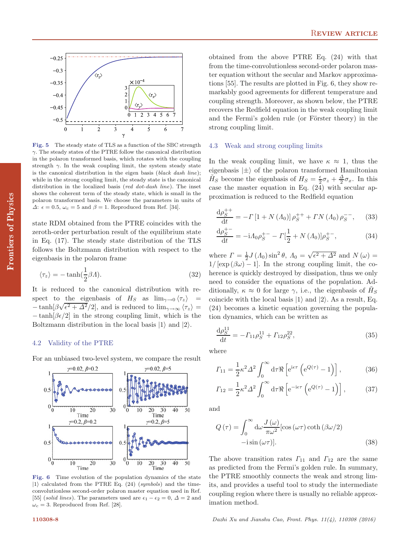

**Fig. 5** The steady state of TLS as a function of the SBC strength  $\gamma$ . The steady states of the PTRE follow the canonical distribution in the polaron transformed basis, which rotates with the coupling strength  $\gamma$ . In the weak coupling limit, the system steady state is the canonical distribution in the eigen basis (black dash line); while in the strong coupling limit, the steady state is the canonical distribution in the localized basis (red dot-dash line). The inset shows the coherent term of the steady state, which is small in the polaron transformed basis. We choose the parameters in units of  $\Delta$ :  $\epsilon = 0.5$ ,  $\omega_c = 5$  and  $\beta = 1$ . Reproduced from Ref. [34].

state RDM obtained from the PTRE coincides with the zeroth-order perturbation result of the equilibrium state in Eq. (17). The steady state distribution of the TLS follows the Boltzmann distribution with respect to the eigenbasis in the polaron frame

$$
\langle \tau_z \rangle = -\tanh(\frac{1}{2}\beta A). \tag{32}
$$

It is reduced to the canonical distribution with respect to the eigenbasis of  $H_S$  as  $\lim_{\gamma \to 0} \langle \tau_z \rangle$  = spect to the eigenbasis of  $Hg$  as  $\lim_{\gamma \to 0} \langle t_z \rangle = -\tanh[\beta\sqrt{\epsilon^2 + \Delta^2}/2]$ , and is reduced to  $\lim_{\gamma \to \infty} \langle \tau_z \rangle =$  $-\tanh[\beta\epsilon/2]$  in the strong coupling limit, which is the Boltzmann distribution in the local basis  $|1\rangle$  and  $|2\rangle$ .

#### 4.2 Validity of the PTRE

For an unbiased two-level system, we compare the result



**Fig. 6** Time evolution of the population dynamics of the state  $|1\rangle$  calculated from the PTRE Eq. (24) (symbols) and the timeconvolutionless second-order polaron master equation used in Ref. [55] (solid lines). The parameters used are  $\epsilon_1 - \epsilon_2 = 0$ ,  $\Delta = 2$  and  $\omega_c = 3$ . Reproduced from Ref. [28].

obtained from the above PTRE Eq. (24) with that from the time-convolutionless second-order polaron master equation without the secular and Markov approximations [55]. The results are plotted in Fig. 6, they show remarkably good agreements for different temperature and coupling strength. Moreover, as shown below, the PTRE recovers the Redfield equation in the weak coupling limit and the Fermi's golden rule (or Förster theory) in the strong coupling limit.

#### 4.3 Weak and strong coupling limits

In the weak coupling limit, we have  $\kappa \approx 1$ , thus the eigenbasis  $|\pm\rangle$  of the polaron transformed Hamiltonian  $\tilde{H}_S$  become the eigenbasis of  $H_S = \frac{\epsilon}{2}\sigma_z + \frac{\Delta}{2}\sigma_x$ . In this case the master equation in Eq. (24) with secular approximation is reduced to the Redfield equation

$$
\frac{d\rho_S^{++}}{dt} = -\Gamma \left[ 1 + N \left( \Lambda_0 \right) \right] \rho_S^{++} + \Gamma N \left( \Lambda_0 \right) \rho_S^{--}, \tag{33}
$$

$$
\frac{\mathrm{d}\rho_S^{+-}}{\mathrm{d}t} = -\mathrm{i}A_0\rho_S^{+-} - \Gamma[\frac{1}{2} + N(A_0)]\rho_S^{+-},\tag{34}
$$

where  $\Gamma = \frac{1}{2}J(\Lambda_0)\sin^2\theta$ ,  $\Lambda_0 = \sqrt{\epsilon^2 + \Lambda^2}$  and  $N(\omega) =$  $1/$  [exp  $(\beta\omega)$  – 1]. In the strong coupling limit, the coherence is quickly destroyed by dissipation, thus we only need to consider the equations of the population. Additionally,  $\kappa \approx 0$  for large  $\gamma$ , i.e., the eigenbasis of  $H<sub>S</sub>$ coincide with the local basis  $|1\rangle$  and  $|2\rangle$ . As a result, Eq. (24) becomes a kinetic equation governing the population dynamics, which can be written as

$$
\frac{\mathrm{d}\rho_S^{11}}{\mathrm{d}t} = -\Gamma_{11}\rho_S^{11} + \Gamma_{12}\rho_S^{22},\tag{35}
$$

where

$$
\Gamma_{11} = \frac{1}{2} \kappa^2 \Delta^2 \int_0^\infty d\tau \Re \left[ e^{i\epsilon \tau} \left( e^{Q(\tau)} - 1 \right) \right],\tag{36}
$$

$$
\Gamma_{12} = \frac{1}{2} \kappa^2 \Delta^2 \int_0^\infty d\tau \Re \left[ e^{-i\epsilon \tau} \left( e^{Q(\tau)} - 1 \right) \right],\tag{37}
$$

and

$$
Q(\tau) = \int_0^\infty d\omega \frac{J(\omega)}{\pi \omega^2} [\cos(\omega \tau) \coth(\beta \omega/2) -i \sin(\omega \tau)].
$$
\n(38)

The above transition rates  $\Gamma_{11}$  and  $\Gamma_{12}$  are the same as predicted from the Fermi's golden rule. In summary, the PTRE smoothly connects the weak and strong limits, and provides a useful tool to study the intermediate coupling region where there is usually no reliable approximation method.

**110308-8** Dazhi Xu and Jianshu Cao, Front. Phys. 11(4), 110308 (2016)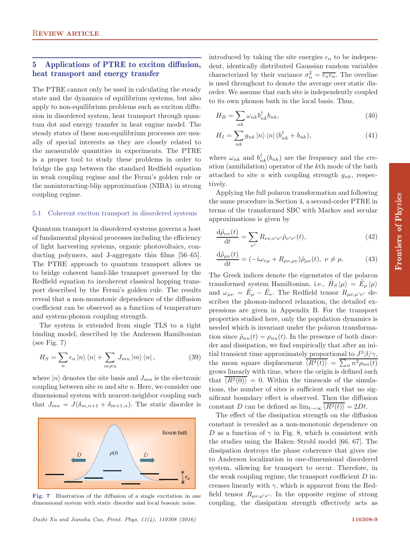## **5 Applications of PTRE to exciton diffusion, heat transport and energy transfer**

The PTRE cannot only be used in calculating the steady state and the dynamics of equilibrium systems, but also apply to non-equilibrium problems such as exciton diffusion in disordered system, heat transport through quantum dot and energy transfer in heat engine model. The steady states of these non-equilibrium processes are usually of special interests as they are closely related to the measurable quantities in experiments. The PTRE is a proper tool to study these problems in order to bridge the gap between the standard Redfield equation in weak coupling regime and the Fermi's golden rule or the noninteracting-blip approximation (NIBA) in strong coupling regime.

#### 5.1 Coherent exciton transport in disordered systems

Quantum transport in disordered systems governs a host of fundamental physical processes including the efficiency of light harvesting systems, organic photovoltaics, conducting polymers, and J-aggregate thin films [56–65]. The PTRE approach to quantum transport allows us to bridge coherent band-like transport governed by the Redfield equation to incoherent classical hopping transport described by the Fermi's golden rule. The results reveal that a non-monotonic dependence of the diffusion coefficient can be observed as a function of temperature and system-phonon coupling strength.

The system is extended from single TLS to a tight binding model, described by the Anderson Hamiltonian (see Fig. 7)

$$
H_S = \sum_{n} \epsilon_n |n\rangle \langle n| + \sum_{m \neq n} J_{mn} |m\rangle \langle n| , \qquad (39)
$$

where  $|n\rangle$  denotes the site basis and  $J_{mn}$  is the electronic coupling between site  $m$  and site  $n$ . Here, we consider one dimensional system with nearest-neighbor coupling such that  $J_{mn} = J(\delta_{m,n+1} + \delta_{m+1,n})$ . The static disorder is



**Fig. 7** Illustration of the diffusion of a single excitation in one dimensional system with static disorder and local bosonic noise.

introduced by taking the site energies  $\epsilon_n$  to be independent identically distributed Gaussian produce projection dent, identically distributed Gaussian random variables characterized by their variance  $\sigma_n^2 = \overline{\epsilon_n \epsilon_n}$ . The overline<br>is used throughout to denote the system over statis disis used throughout to denote the average over static disorder. We assume that each site is independently coupled to its own phonon bath in the local basis. Thus,

$$
H_B = \sum_{nk} \omega_{nk} b_{nk}^\dagger b_{nk},\tag{40}
$$

$$
H_I = \sum_{nk} g_{nk} |n\rangle \langle n| (b_{nk}^\dagger + b_{nk}), \qquad (41)
$$

where  $\omega_{nk}$  and  $b_{nk}^{\dagger}(b_{nk})$  are the frequency and the cre-<br>ation (applicition) operator of the kth mode of the bath ation (annihilation) operator of the kth mode of the bath attached to site n with coupling strength  $g_{nk}$ , respectively.

Applying the full polaron transformation and following the same procedure in Section 4, a second-order PTRE in terms of the transformed SBC with Markov and secular approximations is given by

$$
\frac{\mathrm{d}\tilde{\rho}_{\nu\nu}(t)}{\mathrm{d}t} = \sum_{\nu'} R_{\nu\nu,\nu'\nu'} \tilde{\rho}_{\nu'\nu'}(t),\tag{42}
$$

$$
\frac{\mathrm{d}\tilde{\rho}_{\mu\nu}(t)}{\mathrm{d}t} = (-i\omega_{\nu\mu} + R_{\mu\nu,\mu\nu})\tilde{\rho}_{\mu\nu}(t), \ \nu \neq \mu. \tag{43}
$$

The Greek indices denote the eigenstates of the polaron transformed system Hamiltonian, i.e.,  $H_S |\mu\rangle = E_\mu |\mu\rangle$ and  $\omega_{\mu\nu} = \tilde{E}_{\mu} - \tilde{E}_{\nu}$ . The Redfield tensor  $R_{\mu\nu,\mu'\nu'}$  describes the phonon-induced relaxation, the detailed expressions are given in Appendix B. For the transport properties studied here, only the population dynamics is needed which is invariant under the polaron transformation since  $\tilde{\rho}_{nn}(t) = \rho_{nn}(t)$ . In the presence of both disorder and dissipation, we find empirically that after an initial transient time approximately proportional to  $J^3\beta/\gamma$ , the mean square displacement  $\langle R^2(t) \rangle = \sum_n n^2 \rho_{nn}(t)$ <br>grows linearly with time where the origin is defined such grows linearly with time, where the origin is defined such that  $\langle R^2(0) \rangle = 0$ . Within the timescale of the simulations, the number of sites is sufficient such that no significant boundary effect is observed. Then the diffusion constant D can be defined as  $\lim_{t\to\infty} \langle R^2(t) \rangle = 2Dt$ .

The effect of the dissipation strength on the diffusion constant is revealed as a non-monotonic dependence on D as a function of  $\gamma$  in Fig. 8, which is consistent with the studies using the Haken–Strobl model [66, 67]. The dissipation destroys the phase coherence that gives rise to Anderson localization in one-dimensional disordered system, allowing for transport to occur. Therefore, in the weak coupling regime, the transport coefficient  $D$  increases linearly with  $\gamma$ , which is apparent from the Redfield tensor  $R_{\mu\nu,\mu'\nu'}$ . In the opposite regime of strong coupling, the dissipation strength effectively acts as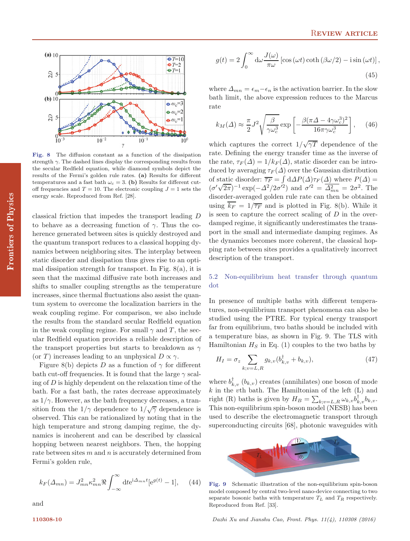

**Fig. 8** The diffusion constant as a function of the dissipation strength  $\gamma$ . The dashed lines display the corresponding results from the secular Redfield equation, while diamond symbols depict the results of the Fermi's golden rule rates. **(a)** Results for different temperatures and a fast bath  $\omega_c = 3$ . (b) Results for different cutoff frequencies and  $T = 10$ . The electronic coupling  $J = 1$  sets the energy scale. Reproduced from Ref. [28].

classical friction that impedes the transport leading D to behave as a decreasing function of  $\gamma$ . Thus the coherence generated between sites is quickly destroyed and the quantum transport reduces to a classical hopping dynamics between neighboring sites. The interplay between static disorder and dissipation thus gives rise to an optimal dissipation strength for transport. In Fig.  $8(a)$ , it is seen that the maximal diffusive rate both increases and shifts to smaller coupling strengths as the temperature increases, since thermal fluctuations also assist the quantum system to overcome the localization barriers in the weak coupling regime. For comparison, we also include the results from the standard secular Redfield equation in the weak coupling regime. For small  $\gamma$  and T, the secular Redfield equation provides a reliable description of the transport properties but starts to breakdown as  $\gamma$ (or T) increases leading to an unphysical  $D \propto \gamma$ .

Figure 8(b) depicts D as a function of  $\gamma$  for different bath cut-off frequencies. It is found that the large  $\gamma$  scaling of  $D$  is highly dependent on the relaxation time of the bath. For a fast bath, the rates decrease approximately as  $1/\gamma$ . However, as the bath frequency decreases, a transition from the  $1/\gamma$  dependence to  $1/\sqrt{\gamma}$  dependence is observed. This can be rationalized by noting that in the high temperature and strong damping regime, the dynamics is incoherent and can be described by classical hopping between nearest neighbors. Then, the hopping rate between sites  $m$  and  $n$  is accurately determined from Fermi's golden rule,

$$
k_F(\Delta_{mn}) = J_{mn}^2 \kappa_{mn}^2 \Re \int_{-\infty}^{\infty} dt e^{i\Delta_{mn}t} [e^{g(t)} - 1], \quad (44)
$$

and

$$
g(t) = 2 \int_0^\infty d\omega \frac{J(\omega)}{\pi \omega} \left[ \cos(\omega t) \coth(\beta \omega/2) - i \sin(\omega t) \right],
$$
\n(45)

where  $\Delta_{mn} = \epsilon_m - \epsilon_n$  is the activation barrier. In the slow bath limit, the above expression reduces to the Marcus rate

$$
k_M(\Delta) \approx \frac{\pi}{2} J^2 \sqrt{\frac{\beta}{\gamma \omega_c^3}} \exp\left[ -\frac{\beta (\pi \Delta - 4\gamma \omega_c^3)^2}{16\pi \gamma \omega_c^3} \right], \quad (46)
$$

which captures the correct  $1/\sqrt{\gamma T}$  dependence of the rate. Defining the energy transfer time as the inverse of the rate,  $\tau_F(\Delta)=1/k_F(\Delta)$ , static disorder can be introduced by averaging  $\tau_F(\Delta)$  over the Gaussian distribution of static disorder:  $\overline{\tau_F} = \int d\Delta P(\Delta) \tau_F(\Delta)$  where  $P(\Delta) =$ (σ'  $\sqrt{2\pi}$ )<sup>-1</sup> exp(−Δ<sup>2</sup>/2σ<sup>72</sup>) and  $\sigma$ <sup>2</sup> =  $\frac{\Delta^2 n}{\Delta^2 n}$  = 2σ<sup>2</sup>. The disorder-averaged golden rule rate can then be obtained using  $\overline{k_F} = 1/\overline{\tau_F}$  and is plotted in Fig. 8(b). While it is seen to capture the correct scaling of  $D$  in the overdamped regime, it significantly underestimates the transport in the small and intermediate damping regimes. As the dynamics becomes more coherent, the classical hopping rate between sites provides a qualitatively incorrect description of the transport.

## 5.2 Non-equilibrium heat transfer through quantum dot

In presence of multiple baths with different temperatures, non-equilibrium transport phenomena can also be studied using the PTRE. For typical energy transport far from equilibrium, two baths should be included with a temperature bias, as shown in Fig. 9. The TLS with Hamiltonian  $H<sub>S</sub>$  in Eq. (1) couples to the two baths by

$$
H_I = \sigma_z \sum_{k; v = L, R} g_{k,v} (b_{k,v}^\dagger + b_{k,v}), \tag{47}
$$

where  $b_{k,v}^{\dagger}(b_{k,v})$  creates (annihilates) one boson of mode<br>k in the *ath* bath. The Hamiltonian of the left (I) and  $k$  in the vth bath. The Hamiltonian of the left  $(L)$  and right (R) baths is given by  $H_B = \sum_{k; v=L,R} \omega_{k,v} b_{k,v}^{\dagger} b_{k,v}$ .<br>This non equilibrium spin boson model (NESR) has been This non-equilibrium spin-boson model (NESB) has been used to describe the electromagnetic transport through superconducting circuits [68], photonic waveguides with



**Fig. 9** Schematic illustration of the non-equilibrium spin-boson model composed by central two-level nano-device connecting to two separate bosonic baths with temperature  $T_L$  and  $T_R$  respectively. Reproduced from Ref. [33].

**110308-10** Dazhi Xu and Jianshu Cao, Front. Phys. 11(4), 110308 (2016)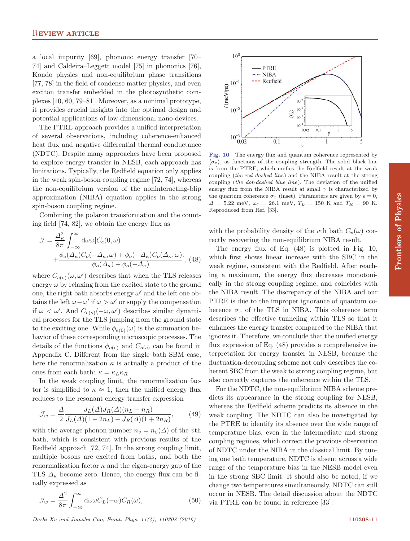a local impurity [69], phononic energy transfer [70– 74] and Caldeira–Leggett model [75] in phononics [76], Kondo physics and non-equilibrium phase transitions [77, 78] in the field of condense matter physics, and even exciton transfer embedded in the photosynthetic complexes [10, 60, 79–81]. Moreover, as a minimal prototype, it provides crucial insights into the optimal design and potential applications of low-dimensional nano-devices.

The PTRE approach provides a unified interpretation of several observations, including coherence-enhanced heat flux and negative differential thermal conductance (NDTC). Despite many approaches have been proposed to explore energy transfer in NESB, each approach has limitations. Typically, the Redfield equation only applies in the weak spin-boson coupling regime [72, 74], whereas the non-equilibrium version of the noninteracting-blip approximation (NIBA) equation applies in the strong spin-boson coupling regime.

Combining the polaron transformation and the counting field [74, 82], we obtain the energy flux as

$$
\mathcal{J} = \frac{\Delta_{\kappa}^{2}}{8\pi} \int_{-\infty}^{\infty} d\omega \omega [C_{e}(0,\omega) + \frac{\phi_{o}(\Delta_{\kappa})C_{o}(-\Delta_{\kappa},\omega) + \phi_{o}(-\Delta_{\kappa})C_{o}(\Delta_{\kappa},\omega)}{\phi_{o}(\Delta_{\kappa}) + \phi_{o}(-\Delta_{\kappa})}],
$$
(48)

where  $C_{e(o)}(\omega, \omega')$  describes that when the TLS releases energy  $\omega$  by relaxing from the excited state to the ground one, the right bath absorbs energy  $\omega'$  and the left one obtains the left  $\omega - \omega'$  if  $\omega > \omega'$  or supply the compensation if  $\omega < \omega'$ . And  $C_{e(o)}(-\omega, \omega')$  describes similar dynami-<br>
solumn access for the TLS invariant from the manual state cal processes for the TLS jumping from the ground state to the exciting one. While  $\phi_{e(0)}(\omega)$  is the summation behavior of these corresponding microscopic processes. The details of the functions  $\phi_{o(e)}$  and  $C_{o(e)}$  can be found in Appendix C. Different from the single bath SBM case, here the renormalization  $\kappa$  is actually a product of the ones from each bath:  $\kappa = \kappa_L \kappa_R$ .

In the weak coupling limit, the renormalization factor is simplified to  $\kappa \approx 1$ , then the unified energy flux reduces to the resonant energy transfer expression

$$
\mathcal{J}_w = \frac{\Delta}{2} \frac{J_L(\Delta)J_R(\Delta)(n_L - n_R)}{J_L(\Delta)(1 + 2n_L) + J_R(\Delta)(1 + 2n_R)},\tag{49}
$$

with the average phonon number  $n_v = n_v(\Delta)$  of the vth bath, which is consistent with previous results of the Redfield approach [72, 74]. In the strong coupling limit, multiple bosons are excited from baths, and both the renormalization factor  $\kappa$  and the eigen-energy gap of the TLS  $\Delta_{\kappa}$  become zero. Hence, the energy flux can be finally expressed as

$$
\mathcal{J}_w = \frac{\Delta^2}{8\pi} \int_{-\infty}^{\infty} d\omega \omega C_L(-\omega) C_R(\omega), \tag{50}
$$

Dazhi Xu and Jianshu Cao, Front. Phys. 11(4), 110308 (2016) **110308-11**



Fig. 10 The energy flux and quantum coherence represented by  $\langle \sigma_x \rangle$ , as functions of the coupling strength. The solid black line is from the PTRE, which unifies the Redfield result at the weak coupling (the red dashed line) and the NIBA result at the strong coupling (the dot-dashed blue line). The deviation of the unified energy flux from the NIBA result at small  $\gamma$  is characterized by the quantum coherence  $\sigma_x$  (inset). Parameters are given by  $\epsilon = 0$ ,  $\Delta = 5.22$  meV,  $\omega_c = 26.1$  meV,  $T_L = 150$  K and  $T_R = 90$  K. Reproduced from Ref. [33].

with the probability density of the vth bath  $C_v(\omega)$  correctly recovering the non-equilibrium NIBA result.

The energy flux of Eq. (48) is plotted in Fig. 10, which first shows linear increase with the SBC in the weak regime, consistent with the Redfield. After reaching a maximum, the energy flux decreases monotonically in the strong coupling regime, and coincides with the NIBA result. The discrepancy of the NIBA and our PTRE is due to the improper ignorance of quantum coherence  $\sigma_x$  of the TLS in NIBA. This coherence term describes the effective tunneling within TLS so that it enhances the energy transfer compared to the NIBA that ignores it. Therefore, we conclude that the unified energy flux expression of Eq. (48) provides a comprehensive interpretation for energy transfer in NESB, because the fluctuation-decoupling scheme not only describes the coherent SBC from the weak to strong coupling regime, but also correctly captures the coherence within the TLS.

For the NDTC, the non-equilibrium NIBA scheme predicts its appearance in the strong coupling for NESB, whereas the Redfield scheme predicts its absence in the weak coupling. The NDTC can also be investigated by the PTRE to identify its absence over the wide range of temperature bias, even in the intermediate and strong coupling regimes, which correct the previous observation of NDTC under the NIBA in the classical limit. By tuning one bath temperature, NDTC is absent across a wide range of the temperature bias in the NESB model even in the strong SBC limit. It should also be noted, if we change two temperatures simultaneously, NDTC can still occur in NESB. The detail discussion about the NDTC via PTRE can be found in reference [33].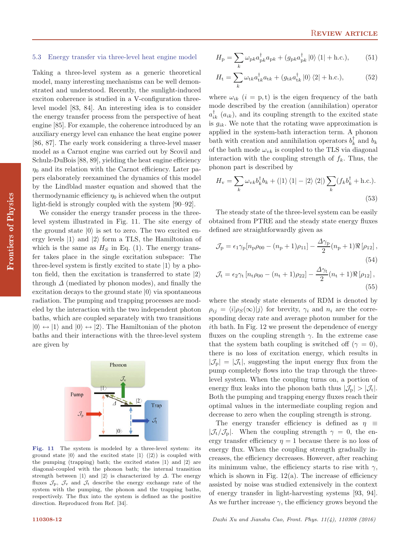#### 5.3 Energy transfer via three-level heat engine model

Taking a three-level system as a generic theoretical model, many interesting mechanisms can be well demonstrated and understood. Recently, the sunlight-induced exciton coherence is studied in a V-configuration threelevel model [83, 84]. An interesting idea is to consider the energy transfer process from the perspective of heat engine [85]. For example, the coherence introduced by an auxiliary energy level can enhance the heat engine power [86, 87]. The early work considering a three-level maser model as a Carnot engine was carried out by Scovil and Schulz-DuBois [88, 89], yielding the heat engine efficiency  $\eta_0$  and its relation with the Carnot efficiency. Later papers elaborately reexamined the dynamics of this model by the Lindblad master equation and showed that the thermodynamic efficiency  $\eta_0$  is achieved when the output light-field is strongly coupled with the system [90–92].

We consider the energy transfer process in the threelevel system illustrated in Fig. 11. The site energy of the ground state  $|0\rangle$  is set to zero. The two excited energy levels  $|1\rangle$  and  $|2\rangle$  form a TLS, the Hamiltonian of which is the same as  $H<sub>S</sub>$  in Eq. (1). The energy transfer takes place in the single excitation subspace: The three-level system is firstly excited to state  $|1\rangle$  by a photon field, then the excitation is transferred to state  $|2\rangle$ through  $\Delta$  (mediated by phonon modes), and finally the excitation decays to the ground state  $|0\rangle$  via spontaneous radiation. The pumping and trapping processes are modeled by the interaction with the two independent photon baths, which are coupled separately with two transitions  $|0\rangle \leftrightarrow |1\rangle$  and  $|0\rangle \leftrightarrow |2\rangle$ . The Hamiltonian of the photon baths and their interactions with the three-level system are given by



**Fig. 11** The system is modeled by a three-level system: its ground state  $|0\rangle$  and the excited state  $|1\rangle$  ( $|2\rangle$ ) is coupled with the pumping (trapping) bath; the excited states  $|1\rangle$  and  $|2\rangle$  are diagonal-coupled with the phonon bath; the internal transition strength between  $|1\rangle$  and  $|2\rangle$  is characterized by  $\Delta$ . The energy fluxes  $\mathcal{J}_{p}$ ,  $\mathcal{J}_{v}$  and  $\mathcal{J}_{t}$  describe the energy exchange rate of the system with the pumping, the phonon and the trapping baths, respectively. The flux into the system is defined as the positive direction. Reproduced from Ref. [34].

$$
H_{\rm p} = \sum_{k} \omega_{\rm pk} a_{\rm pk}^{\dagger} a_{\rm pk} + (g_{\rm pk} a_{\rm pk}^{\dagger} |0\rangle \langle 1| + \text{h.c.}),\tag{51}
$$

$$
H_{\rm t} = \sum_{k} \omega_{\rm t} a_{\rm t}^{\dagger} a_{\rm t}^{\phantom{\dagger}} + (g_{\rm t} a_{\rm t}^{\dagger} a_{\rm t}^{\phantom{\dagger}} |0\rangle \langle 2| + \text{h.c.}),\tag{52}
$$

where  $\omega_{ik}$  (i = p, t) is the eigen frequency of the bath mode described by the creation (annihilation) operator  $a_{ik}^{\dagger}$  ( $a_{ik}$ ), and its coupling strength to the excited state<br>is  $a_{ik}$ . We note that the retating wave approximation is is  $q_{ik}$ . We note that the rotating wave approximation is applied in the system-bath interaction term. A phonon bath with creation and annihilation operators  $b_k^{\dagger}$  and  $b_k$ <br>of the bath mode  $\omega$ , is coupled to the TIS via diagonal of the bath mode  $\omega_{\text{v}k}$  is coupled to the TLS via diagonal interaction with the coupling strength of  $f_k$ . Thus, the phonon part is described by

$$
H_{\rm v} = \sum_{k} \omega_{\rm vk} b_{k}^{\dagger} b_{k} + (|1\rangle \langle 1| - |2\rangle \langle 2|) \sum_{k} (f_{k} b_{k}^{\dagger} + \text{h.c.}).
$$
\n(53)

The steady state of the three-level system can be easily obtained from PTRE and the steady state energy fluxes defined are straightforwardly given as

$$
\mathcal{J}_{\rm p} = \epsilon_1 \gamma_{\rm p} [n_{\rm p} \rho_{00} - (n_{\rm p} + 1)\rho_{11}] - \frac{\Delta \gamma_{\rm p}}{2} (n_{\rm p} + 1) \Re [\rho_{12}],
$$
\n(54)

$$
\mathcal{J}_{t} = \epsilon_{2} \gamma_{t} \left[ n_{t} \rho_{00} - (n_{t} + 1) \rho_{22} \right] - \frac{\Delta \gamma_{t}}{2} (n_{t} + 1) \Re \left[ \rho_{12} \right],
$$
\n(55)

where the steady state elements of RDM is denoted by  $\rho_{ij} = \langle i|\rho_S(\infty)|j\rangle$  for brevity,  $\gamma_i$  and  $n_i$  are the corre-<br>recording decorate and correspondently number for the sponding decay rate and average photon number for the ith bath. In Fig. 12 we present the dependence of energy fluxes on the coupling strength  $\gamma$ . In the extreme case that the system bath coupling is switched off ( $\gamma = 0$ ), there is no loss of excitation energy, which results in  $|\mathcal{J}_{p}| = |\mathcal{J}_{t}|$ , suggesting the input energy flux from the pump completely flows into the trap through the threelevel system. When the coupling turns on, a portion of energy flux leaks into the phonon bath thus  $|\mathcal{J}_{p}| > |\mathcal{J}_{t}|$ . Both the pumping and trapping energy fluxes reach their optimal values in the intermediate coupling region and decrease to zero when the coupling strength is strong.

The energy transfer efficiency is defined as  $\eta \equiv$  $|\mathcal{J}_t/\mathcal{J}_p|$ . When the coupling strength  $\gamma = 0$ , the energy transfer efficiency  $\eta = 1$  because there is no loss of energy flux. When the coupling strength gradually increases, the efficiency decreases. However, after reaching its minimum value, the efficiency starts to rise with  $\gamma$ , which is shown in Fig.  $12(a)$ . The increase of efficiency assisted by noise was studied extensively in the context of energy transfer in light-harvesting systems [93, 94]. As we further increase  $\gamma$ , the efficiency grows beyond the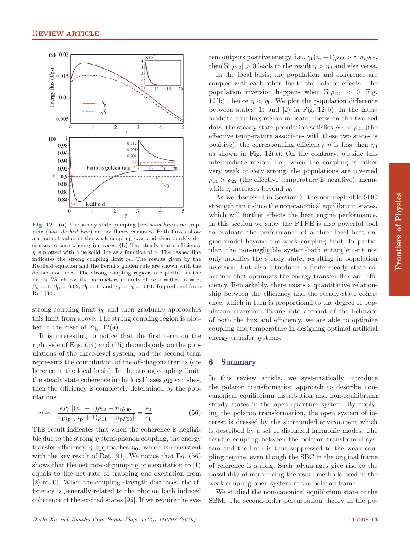

**Fig. 12 (a)** The steady state pumping (red solid line) and trapping (blue dashed line) energy fluxes versus  $\gamma$ . Both fluxes show a maximal value in the weak coupling case and then quickly decreases to zero when  $\gamma$  increases. **(b)** The steady states efficiency  $η$  is plotted with blue solid line as a function of  $γ$ . The dashed line indicates the strong coupling limit  $\eta_0$ . The results given by the Redfield equation and the Fermi's golden rule are shown with the dashed-dot lines. The strong coupling regions are plotted in the insets. We choose the parameters in units of  $\Delta$ :  $\epsilon = 0.5$ ,  $\omega_c = 5$ ,  $\beta_{\rm v} = 1, \beta_{\rm p} = 0.02, \beta_{\rm t} = 1, \text{ and } \gamma_{\rm p} = \gamma_{\rm t} = 0.01.$  Reproduced from Ref. [34].

strong coupling limit  $\eta_0$  and then gradually approaches this limit from above. The strong coupling region is plotted in the inset of Fig. 12(a).

It is interesting to notice that the first term on the right side of Eqs. (54) and (55) depends only on the populations of the three-level system, and the second term represents the contribution of the off-diagonal terms (coherence in the local basis). In the strong coupling limit, the steady state coherence in the local bases  $\rho_{12}$  vanishes, then the efficiency is completely determined by the populations:

$$
\eta \approx -\frac{\epsilon_2 \gamma_t [(n_t+1)\rho_{22} - n_t \rho_{00}]}{\epsilon_1 \gamma_p [(n_p+1)\rho_{11} - n_p \rho_{00}]} = \frac{\epsilon_2}{\epsilon_1}.
$$
\n(56)

This result indicates that when the coherence is negligible due to the strong system-phonon coupling, the energy transfer efficiency  $\eta$  approaches  $\eta_0$ , which is consistent with the key result of Ref. [91]. We notice that Eq. (56) shows that the net rate of pumping one excitation to  $|1\rangle$ equals to the net rate of trapping one excitation from  $|2\rangle$  to  $|0\rangle$ . When the coupling strength decreases, the efficiency is generally related to the phonon bath induced coherence of the excited states [95]. If we require the system outputs positive energy, i.e.,  $\gamma_t(n_t+1)\rho_{22} > \gamma_t n_t \rho_{00}$ , then  $\Re[\rho_{12}] > 0$  leads to the result  $\eta > \eta_0$  and vise versa.

In the local basis, the population and coherence are coupled with each other due to the polaron effects: The population inversion happens when  $\Re[\rho_{12}] < 0$  [Fig. 12(b)], hence  $\eta < \eta_0$ . We plot the population difference between states  $|1\rangle$  and  $|2\rangle$  in Fig. 12(b). In the intermediate coupling region indicated between the two red dots, the steady state population satisfies  $\rho_{11} < \rho_{22}$  (the effective temperature associates with these two states is positive), the corresponding efficiency  $\eta$  is less then  $\eta_0$ as shown in Fig.  $12(a)$ . On the contrary, outside this intermediate region, i.e., when the coupling is either very weak or very strong, the populations are inverted  $\rho_{11} > \rho_{22}$  (the effective temperature is negative); meanwhile  $\eta$  increases beyond  $\eta_0$ .

As we discussed in Section 3, the non-negligible SBC strength can induce the non-canonical equilibrium states, which will further affects the heat engine performance. In this section we show the PTRE is also powerful tool to evaluate the performance of a three-level heat engine model beyond the weak coupling limit. In particular, the non-negligible system-bath entanglement not only modifies the steady state, resulting in population inversion, but also introduces a finite steady state coherence that optimizes the energy transfer flux and efficiency. Remarkably, there exists a quantitative relationship between the efficiency and the steady-state coherence, which in turn is proportional to the degree of population inversion. Taking into account of the behavior of both the flux and efficiency, we are able to optimize coupling and temperature in designing optimal artificial energy transfer systems.

#### **6 Summary**

In this review article, we systematically introduce the polaron transformation approach to describe noncanonical equilibrium distribution and non-equilibrium steady states in the open quantum system. By applying the polaron transformation, the open system of interest is dressed by the surrounded environment which is described by a set of displaced harmonic modes. The residue coupling between the polaron transformed system and the bath is thus suppressed to the weak coupling regime, even though the SBC in the original frame of reference is strong. Such advantages give rise to the possibility of introducing the usual methods used in the weak coupling open system in the polaron frame.

We studied the non-canonical equilibrium state of the SBM. The second-order perturbation theory in the po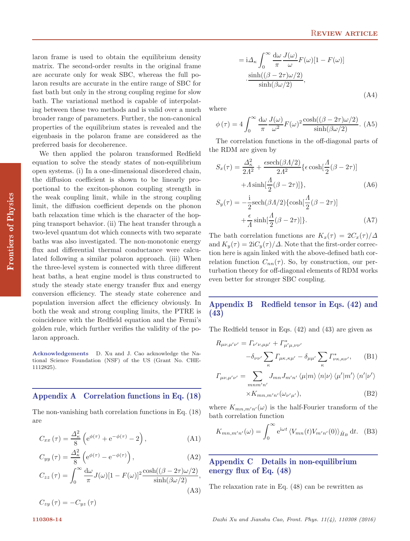laron frame is used to obtain the equilibrium density matrix. The second-order results in the original frame are accurate only for weak SBC, whereas the full polaron results are accurate in the entire range of SBC for fast bath but only in the strong coupling regime for slow bath. The variational method is capable of interpolating between these two methods and is valid over a much broader range of parameters. Further, the non-canonical properties of the equilibrium states is revealed and the eigenbasis in the polaron frame are considered as the preferred basis for decoherence.

We then applied the polaron transformed Redfield equation to solve the steady states of non-equilibrium open systems. (i) In a one-dimensional disordered chain, the diffusion coefficient is shown to be linearly proportional to the exciton-phonon coupling strength in the weak coupling limit, while in the strong coupling limit, the diffusion coefficient depends on the phonon bath relaxation time which is the character of the hopping transport behavior. (ii) The heat transfer through a two-level quantum dot which connects with two separate baths was also investigated. The non-monotonic energy flux and differential thermal conductance were calculated following a similar polaron approach. (iii) When the three-level system is connected with three different heat baths, a heat engine model is thus constructed to study the steady state energy transfer flux and energy conversion efficiency. The steady state coherence and population inversion affect the efficiency obviously. In both the weak and strong coupling limits, the PTRE is coincidence with the Redfield equation and the Fermi's golden rule, which further verifies the validity of the polaron approach.

**Acknowledgements** D. Xu and J. Cao acknowledge the National Science Foundation (NSF) of the US (Grant No. CHE-1112825).

## **Appendix A Correlation functions in Eq. (18)**

The non-vanishing bath correlation functions in Eq. (18) are

$$
C_{xx}(\tau) = \frac{\Delta_{\kappa}^{2}}{8} \left( e^{\phi(\tau)} + e^{-\phi(\tau)} - 2 \right), \tag{A1}
$$

$$
C_{yy}(\tau) = \frac{\Delta_{\kappa}^{2}}{8} \left( e^{\phi(\tau)} - e^{-\phi(\tau)} \right), \tag{A2}
$$

$$
C_{zz}(\tau) = \int_0^\infty \frac{d\omega}{\pi} J(\omega) [1 - F(\omega)]^2 \frac{\cosh((\beta - 2\tau)\omega/2)}{\sinh(\beta\omega/2)},
$$
\n(A3)

$$
C_{zy}\left(\tau\right)=-C_{yz}\left(\tau\right)
$$

$$
= i\Delta_{\kappa} \int_0^{\infty} \frac{d\omega}{\pi} \frac{J(\omega)}{\omega} F(\omega) [1 - F(\omega)]
$$

$$
\frac{\sinh((\beta - 2\tau)\omega/2)}{\sinh(\beta\omega/2)},
$$
(A4)

where

$$
\phi(\tau) = 4 \int_0^\infty \frac{d\omega}{\pi} \frac{J(\omega)}{\omega^2} F(\omega)^2 \frac{\cosh((\beta - 2\tau)\omega/2)}{\sinh(\beta\omega/2)}.
$$
 (A5)

The correlation functions in the off-diagonal parts of the RDM are given by

$$
S_x(\tau) = \frac{\Delta_{\kappa}^2}{2A^2} + \frac{\text{seech}(\beta A/2)}{2A^2} \{ \epsilon \cosh[\frac{A}{2}(\beta - 2\tau)] + A \sinh[\frac{A}{2}(\beta - 2\tau)] \}, \tag{A6}
$$

$$
S_y(\tau) = -\frac{1}{2} \operatorname{sech}(\beta \Lambda/2) \{ \cosh[\frac{\Lambda}{2}(\beta - 2\tau)] + \frac{\epsilon}{\Lambda} \sinh[\frac{\Lambda}{2}(\beta - 2\tau)] \}.
$$
 (A7)

The bath correlation functions are  $K_x(\tau)=2C_x(\tau)/\Delta$ and  $K_y(\tau) = 2iC_y(\tau)/\Delta$ . Note that the first-order correction here is again linked with the above-defined bath correlation function  $C_{nn}(\tau)$ . So, by construction, our perturbation theory for off-diagonal elements of RDM works even better for stronger SBC coupling.

## **Appendix B Redfield tensor in Eqs. (42) and (43)**

The Redfield tensor in Eqs. (42) and (43) are given as

$$
R_{\mu\nu,\mu'\nu'} = \Gamma_{\nu'\nu,\mu\mu'} + \Gamma_{\mu'\mu,\nu\nu'}^*
$$

$$
- \delta_{\nu\nu'} \sum_{\kappa} \Gamma_{\mu\kappa,\kappa\mu'} - \delta_{\mu\mu'} \sum_{\kappa} \Gamma_{\nu\kappa,\kappa\nu'}^*, \qquad (B1)
$$

$$
\Gamma_{\mu\nu,\mu'\nu'} = \sum_{mnm'n'} J_{mn} J_{m'n'} \langle \mu | m \rangle \langle n | \nu \rangle \langle \mu' | m' \rangle \langle n' | \nu' \rangle
$$

$$
\times K_{mn,m'n'}(\omega_{\nu'\mu'}), \tag{B2}
$$

where  $K_{mn,m'n'}(\omega)$  is the half-Fourier transform of the bath correlation function

$$
K_{mn,m'n'}(\omega) = \int_0^\infty e^{i\omega t} \langle V_{mn}(t)V_{m'n'}(0) \rangle_{\tilde{H}_B} dt. \quad (B3)
$$

## **Appendix C Details in non-equilibrium energy flux of Eq. (48)**

The relaxation rate in Eq. (48) can be rewritten as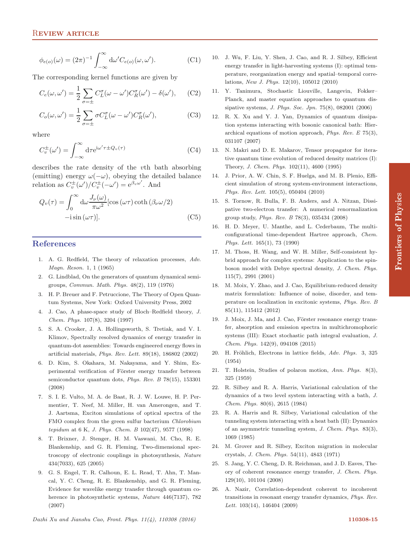$$
\phi_{e(o)}(\omega) = (2\pi)^{-1} \int_{-\infty}^{\infty} d\omega' C_{e(o)}(\omega, \omega').
$$
 (C1)

The corresponding kernel functions are given by

$$
C_e(\omega, \omega') = \frac{1}{2} \sum_{\sigma = \pm} C_L^{\sigma} (\omega - \omega') C_R^{\sigma} (\omega') - \delta(\omega'), \quad \text{(C2)}
$$

$$
C_o(\omega, \omega') = \frac{1}{2} \sum_{\sigma = \pm} \sigma C_L^{\sigma} (\omega - \omega') C_R^{\sigma} (\omega'), \tag{C3}
$$

where

$$
C_v^{\pm}(\omega') = \int_{-\infty}^{\infty} d\tau e^{i\omega'\tau \pm Q_v(\tau)}
$$
(C4)

describes the rate density of the vth bath absorbing (emitting) energy  $\omega(-\omega)$ , obeying the detailed balance relation as  $C_v^{\pm}(\omega')/C_v^{\pm}(-\omega') = e^{\beta_v \omega'}$ . And

$$
Q_v(\tau) = \int_0^\infty d\omega \frac{J_\nu(\omega)}{\pi \omega^2} [\cos(\omega \tau) \coth(\beta_\nu \omega/2) -i \sin(\omega \tau)]. \tag{C5}
$$

## **References**

- 1. A. G. Redfield, The theory of relaxation processes, Adv. Magn. Reson. 1, 1 (1965)
- 2. G. Lindblad, On the generators of quantum dynamical semigroups, Commun. Math. Phys. 48(2), 119 (1976)
- 3. H. P. Breuer and F. Petruccione, The Theory of Open Quantum Systems, New York: Oxford University Press, 2002
- 4. J. Cao, A phase-space study of Bloch–Redfield theory, J. Chem. Phys. 107(8), 3204 (1997)
- 5. S. A. Crooker, J. A. Hollingsworth, S. Tretiak, and V. I. Klimov, Spectrally resolved dynamics of energy transfer in quantum-dot assemblies: Towards engineered energy flows in artificial materials, Phys. Rev. Lett. 89(18), 186802 (2002)
- 6. D. Kim, S. Okahara, M. Nakayama, and Y. Shim, Experimental verification of Förster energy transfer between semiconductor quantum dots, Phys. Rev. B 78(15), 153301 (2008)
- 7. S. I. E. Vulto, M. A. de Baat, R. J. W. Louwe, H. P. Permentier, T. Neef, M. Miller, H. van Amerongen, and T. J. Aartsma, Exciton simulations of optical spectra of the FMO complex from the green sulfur bacterium Chlorobium tepidum at 6 K, J. Phys. Chem. B 102(47), 9577 (1998)
- 8. T. Brixner, J. Stenger, H. M. Vaswani, M. Cho, R. E. Blankenship, and G. R. Fleming, Two-dimensional spectroscopy of electronic couplings in photosynthesis, Nature 434(7033), 625 (2005)
- 9. G. S. Engel, T. R. Calhoun, E. L. Read, T. Ahn, T. Mancal, Y. C. Cheng, R. E. Blankenship, and G. R. Fleming, Evidence for wavelike energy transfer through quantum coherence in photosynthetic systems, Nature 446(7137), 782 (2007)
- 10. J. Wu, F. Liu, Y. Shen, J. Cao, and R. J. Silbey, Efficient energy transfer in light-harvesting systems (I): optimal temperature, reorganization energy and spatial–temporal correlations, New J. Phys. 12(10), 105012 (2010)
- 11. Y. Tanimura, Stochastic Liouville, Langevin, Fokker– Planck, and master equation approaches to quantum dissipative systems, J. Phys. Soc. Jpn. 75(8), 082001 (2006)
- 12. R. X. Xu and Y. J. Yan, Dynamics of quantum dissipation systems interacting with bosonic canonical bath: Hierarchical equations of motion approach, Phys. Rev. E 75(3), 031107 (2007)
- 13. N. Makri and D. E. Makarov, Tensor propagator for iterative quantum time evolution of reduced density matrices (I): Theory, J. Chem. Phys. 102(11), 4600 (1995)
- 14. J. Prior, A. W. Chin, S. F. Huelga, and M. B. Plenio, Efficient simulation of strong system-environment interactions, Phys. Rev. Lett. 105(5), 050404 (2010)
- 15. S. Tornow, R. Bulla, F. B. Anders, and A. Nitzan, Dissipative two-electron transfer: A numerical renormalization group study, Phys. Rev. B 78(3), 035434 (2008)
- 16. H. D. Meyer, U. Manthe, and L. Cederbaum, The multiconfigurational time-dependent Hartree approach, Chem. Phys. Lett. 165(1), 73 (1990)
- 17. M. Thoss, H. Wang, and W. H. Miller, Self-consistent hybrid approach for complex systems: Application to the spinboson model with Debye spectral density, J. Chem. Phys. 115(7), 2991 (2001)
- 18. M. Moix, Y. Zhao, and J. Cao, Equilibrium-reduced density matrix formulation: Influence of noise, disorder, and temperature on localization in excitonic systems, Phys. Rev. B 85(11), 115412 (2012)
- 19. J. Moix, J. Ma, and J. Cao, Förster resonance energy transfer, absorption and emission spectra in multichromophoric systems (III): Exact stochastic path integral evaluation, J. Chem. Phys. 142(9), 094108 (2015)
- 20. H. Fröhlich, Electrons in lattice fields, Adv. Phys. 3, 325 (1954)
- 21. T. Holstein, Studies of polaron motion, Ann. Phys. 8(3), 325 (1959)
- 22. R. Silbey and R. A. Harris, Variational calculation of the dynamics of a two level system interacting with a bath, J. Chem. Phys. 80(6), 2615 (1984)
- 23. R. A. Harris and R. Silbey, Variational calculation of the tunneling system interacting with a heat bath (II): Dynamics of an asymmetric tunneling system, J. Chem. Phys. 83(3), 1069 (1985)
- 24. M. Grover and R. Silbey, Exciton migration in molecular crystals, J. Chem. Phys. 54(11), 4843 (1971)
- 25. S. Jang, Y. C. Cheng, D. R. Reichman, and J. D. Eaves, Theory of coherent resonance energy transfer, J. Chem. Phys. 129(10), 101104 (2008)
- 26. A. Nazir, Correlation-dependent coherent to incoherent transitions in resonant energy transfer dynamics, Phys. Rev. Lett. 103(14), 146404 (2009)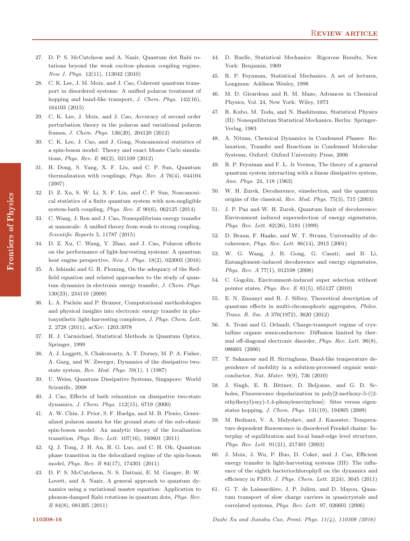- 27. D. P. S. McCutcheon and A. Nazir, Quantum dot Rabi rotations beyond the weak exciton–phonon coupling regime, New J. Phys. 12(11), 113042 (2010)
- 28. C. K. Lee, J. M. Moix, and J. Cao, Coherent quantum transport in disordered systems: A unified polaron treatment of hopping and band-like transport, *J. Chem. Phys.* 142(16), 164103 (2015)
- 29. C. K. Lee, J. Moix, and J. Cao, Accuracy of second order perturbation theory in the polaron and variational polaron frames, J. Chem. Phys. 136(20), 204120 (2012)
- 30. C. K. Lee, J. Cao, and J. Gong, Noncanonical statistics of a spin-boson model: Theory and exact Monte Carlo simulations, Phys. Rev. E 86(2), 021109 (2012)
- 31. H. Dong, S. Yang, X. F. Liu, and C. P. Sun, Quantum thermalization with couplings, Phys. Rev. A 76(4), 044104 (2007)
- 32. D. Z. Xu, S. W. Li, X. F. Liu, and C. P. Sun, Noncanonical statistics of a finite quantum system with non-negligible system-bath coupling, Phys. Rev. E 90(6), 062125 (2014)
- 33. C. Wang, J. Ren and J. Cao, Nonequilibrium energy transfer at nanoscale: A unified theory from weak to strong coupling, Scientific Reports 5, 11787 (2015)
- 34. D. Z. Xu, C. Wang, Y. Zhao, and J. Cao, Polaron effects on the performance of light-harvesting systems: A quantum heat engine perspective, New J. Phys. 18(2), 023003 (2016)
- 35. A. Ishizaki and G. R. Fleming, On the adequacy of the Redfield equation and related approaches to the study of quantum dynamics in electronic energy transfer, J. Chem. Phys. 130(23), 234110 (2009)
- 36. L. A. Pachón and P. Brumer, Computational methodologies and physical insights into electronic energy transfer in photosynthetic light-harvesting complexes, J. Phys. Chem. Lett. 2, 2728 (2011), arXiv: 1203.3978
- 37. H. J. Carmichael, Statistical Methods in Quantum Optics, Springer, 1999
- 38. A. J. Leggett, S. Chakravarty, A. T. Dorsey, M. P. A. Fisher, A. Garg, and W. Zwerger, Dynamics of the dissipative twostate system, Rev. Mod. Phys. 59(1), 1 (1987)
- 39. U. Weiss, Quantum Dissipative Systems, Singapore: World Scientific, 2008
- 40. J. Cao, Effects of bath relaxation on dissipative two-state dynamics, J. Chem. Phys. 112(15), 6719 (2000)
- 41. A. W. Chin, J. Prior, S. F. Huelga, and M. B. Plenio, Generalized polaron ansatz for the ground state of the sub-ohmic spin-boson model: An analytic theory of the localization transition, Phys. Rev. Lett. 107(16), 160601 (2011)
- 42. Q. J. Tong, J. H. An, H. G. Luo, and C. H. Oh, Quantum phase transition in the delocalized regime of the spin-boson model, Phys. Rev. B 84(17), 174301 (2011)
- 43. D. P. S. McCutcheon, N. S. Dattani, E. M. Gauger, B. W. Lovett, and A. Nazir, A general approach to quantum dynamics using a variational master equation: Application to phonon-damped Rabi rotations in quantum dots, Phys. Rev. B 84(8), 081305 (2011)
- 44. D. Ruelle, Statistical Mechanics: Rigorous Results, New York: Benjamin, 1969
- 45. R. P. Feynman, Statistical Mechanics. A set of lectures, Longman: Addison Wesley, 1998
- 46. M. D. Girardeau and R. M. Mazo, Advances in Chemical Physics, Vol. 24, New York: Wiley, 1973
- 47. R. Kubo, M. Toda, and N. Hashitsume, Statistical Physics (II): Nonequilibrium Statistical Mechanics, Berlin: Springer-Verlag, 1983
- 48. A. Nitzan, Chemical Dynamics in Condensed Phases: Relaxation, Transfer and Reactions in Condensed Molecular Systems, Oxford: Oxford University Press, 2006
- 49. R. P. Feynman and F. L. Jr Vernon, The theory of a general quantum system interacting with a linear dissipative system, Ann. Phys. 24, 118 (1963)
- 50. W. H. Zurek, Decoherence, einselection, and the quantum origins of the classical, Rev. Mod. Phys. 75(3), 715 (2003)
- 51. J. P. Paz and W. H. Zurek, Quantum limit of decoherence: Environment induced superselection of energy eigenstates, Phys. Rev. Lett. 82(26), 5181 (1999)
- 52. D. Braun, F. Haake, and W. T. Strunz, Universality of decoherence, Phys. Rev. Lett. 86(14), 2913 (2001)
- 53. W. G. Wang, J. B. Gong, G. Casati, and B. Li, Entanglement-induced decoherence and energy eigenstates, Phys. Rev. A 77(1), 012108 (2008)
- 54. C. Gogolin, Environment-induced super selection without pointer states, Phys. Rev. E 81(5), 051127 (2010)
- 55. E. N. Zimanyi and R. J. Silbey, Theoretical description of quantum effects in multi-chromophoric aggregates, Philos. Trans. R. Soc. A 370(1972), 3620 (2012)
- 56. A. Troisi and G. Orlandi, Charge-transport regime of crystalline organic semiconductors: Diffusion limited by thermal off-diagonal electronic disorder, Phys. Rev. Lett. 96(8), 086601 (2006)
- 57. T. Sakanoue and H. Sirringhaus, Band-like temperature dependence of mobility in a solution-processed organic semiconductor, Nat. Mater. 9(9), 736 (2010)
- 58. J. Singh, E. R. Bittner, D. Beljonne, and G. D. Scholes, Fluorescence depolarization in poly[2-methoxy-5-((2 ethylhexyl)oxy)-1,4-phenylenevinylene]: Sites versus eigenstates hopping, J. Chem. Phys. 131(19), 194905 (2009)
- 59. M. Bednarz, V. A. Malyshev, and J. Knoester, Temperature dependent fluorescence in disordered Frenkel chains: Interplay of equilibration and local band-edge level structure, Phys. Rev. Lett. 91(21), 217401 (2003)
- 60. J. Moix, J. Wu, P. Huo, D. Coker, and J. Cao, Efficient energy transfer in light-harvesting systems (III): The influence of the eighth bacteriochlorophyll on the dynamics and efficiency in FMO, J. Phys. Chem. Lett. 2(24), 3045 (2011)
- 61. G. T. de Laissardière, J. P. Julien, and D. Mayou, Quantum transport of slow charge carriers in quasicrystals and correlated systems, Phys. Rev. Lett. 97, 026601 (2006)

**110308-16** Dazhi Xu and Jianshu Cao, Front. Phys. 11(4), 110308 (2016)